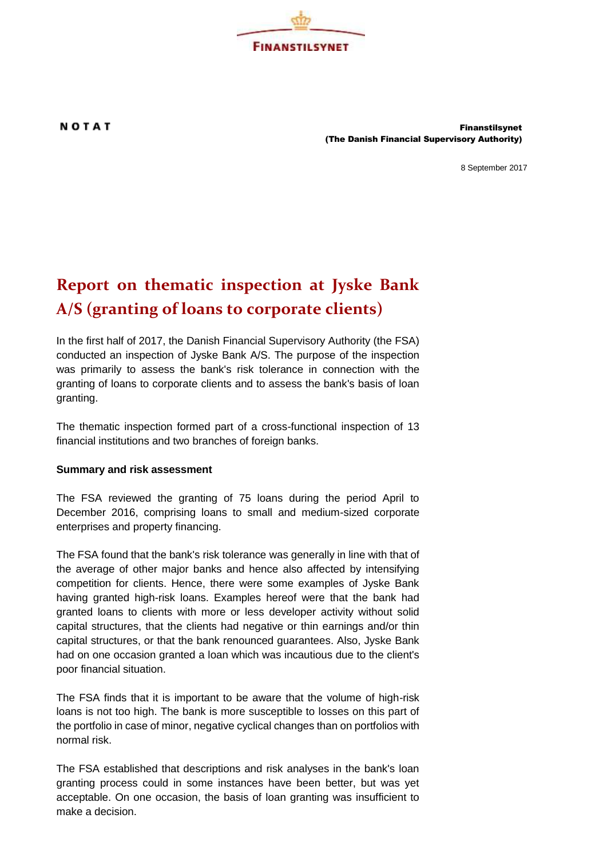

NOTAT Finanstilsynet (The Danish Financial Supervisory Authority)

8 September 2017

## **Report on thematic inspection at Jyske Bank A/S (granting of loans to corporate clients)**

In the first half of 2017, the Danish Financial Supervisory Authority (the FSA) conducted an inspection of Jyske Bank A/S. The purpose of the inspection was primarily to assess the bank's risk tolerance in connection with the granting of loans to corporate clients and to assess the bank's basis of loan granting.

The thematic inspection formed part of a cross-functional inspection of 13 financial institutions and two branches of foreign banks.

## **Summary and risk assessment**

The FSA reviewed the granting of 75 loans during the period April to December 2016, comprising loans to small and medium-sized corporate enterprises and property financing.

The FSA found that the bank's risk tolerance was generally in line with that of the average of other major banks and hence also affected by intensifying competition for clients. Hence, there were some examples of Jyske Bank having granted high-risk loans. Examples hereof were that the bank had granted loans to clients with more or less developer activity without solid capital structures, that the clients had negative or thin earnings and/or thin capital structures, or that the bank renounced guarantees. Also, Jyske Bank had on one occasion granted a loan which was incautious due to the client's poor financial situation.

The FSA finds that it is important to be aware that the volume of high-risk loans is not too high. The bank is more susceptible to losses on this part of the portfolio in case of minor, negative cyclical changes than on portfolios with normal risk.

The FSA established that descriptions and risk analyses in the bank's loan granting process could in some instances have been better, but was yet acceptable. On one occasion, the basis of loan granting was insufficient to make a decision.